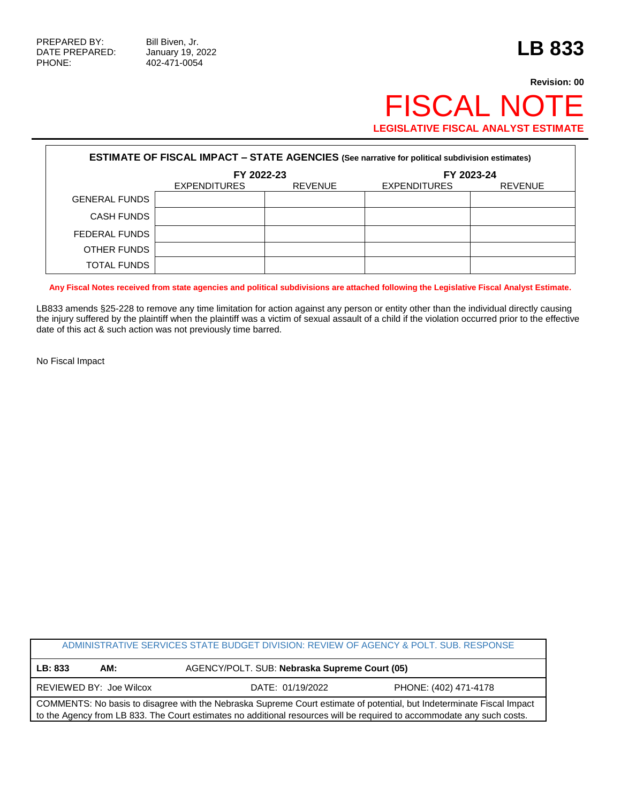PHONE: 402-471-0054

## **Revision: 00** FISCAL NOTE **LEGISLATIVE FISCAL ANALYST ESTIMATE**

| <b>ESTIMATE OF FISCAL IMPACT - STATE AGENCIES (See narrative for political subdivision estimates)</b> |                     |                |                     |         |  |
|-------------------------------------------------------------------------------------------------------|---------------------|----------------|---------------------|---------|--|
|                                                                                                       | FY 2022-23          |                | FY 2023-24          |         |  |
|                                                                                                       | <b>EXPENDITURES</b> | <b>REVENUE</b> | <b>EXPENDITURES</b> | REVENUE |  |
| <b>GENERAL FUNDS</b>                                                                                  |                     |                |                     |         |  |
| <b>CASH FUNDS</b>                                                                                     |                     |                |                     |         |  |
| FEDERAL FUNDS                                                                                         |                     |                |                     |         |  |
| OTHER FUNDS                                                                                           |                     |                |                     |         |  |
| <b>TOTAL FUNDS</b>                                                                                    |                     |                |                     |         |  |

**Any Fiscal Notes received from state agencies and political subdivisions are attached following the Legislative Fiscal Analyst Estimate.**

LB833 amends §25-228 to remove any time limitation for action against any person or entity other than the individual directly causing the injury suffered by the plaintiff when the plaintiff was a victim of sexual assault of a child if the violation occurred prior to the effective date of this act & such action was not previously time barred.

No Fiscal Impact

| ADMINISTRATIVE SERVICES STATE BUDGET DIVISION: REVIEW OF AGENCY & POLT. SUB. RESPONSE                                  |                         |                                               |                       |  |  |
|------------------------------------------------------------------------------------------------------------------------|-------------------------|-----------------------------------------------|-----------------------|--|--|
| LB: 833                                                                                                                | AM:                     | AGENCY/POLT. SUB: Nebraska Supreme Court (05) |                       |  |  |
|                                                                                                                        | REVIEWED BY: Joe Wilcox | DATE: 01/19/2022                              | PHONE: (402) 471-4178 |  |  |
| COMMENTS: No basis to disagree with the Nebraska Supreme Court estimate of potential, but Indeterminate Fiscal Impact  |                         |                                               |                       |  |  |
| to the Agency from LB 833. The Court estimates no additional resources will be required to accommodate any such costs. |                         |                                               |                       |  |  |